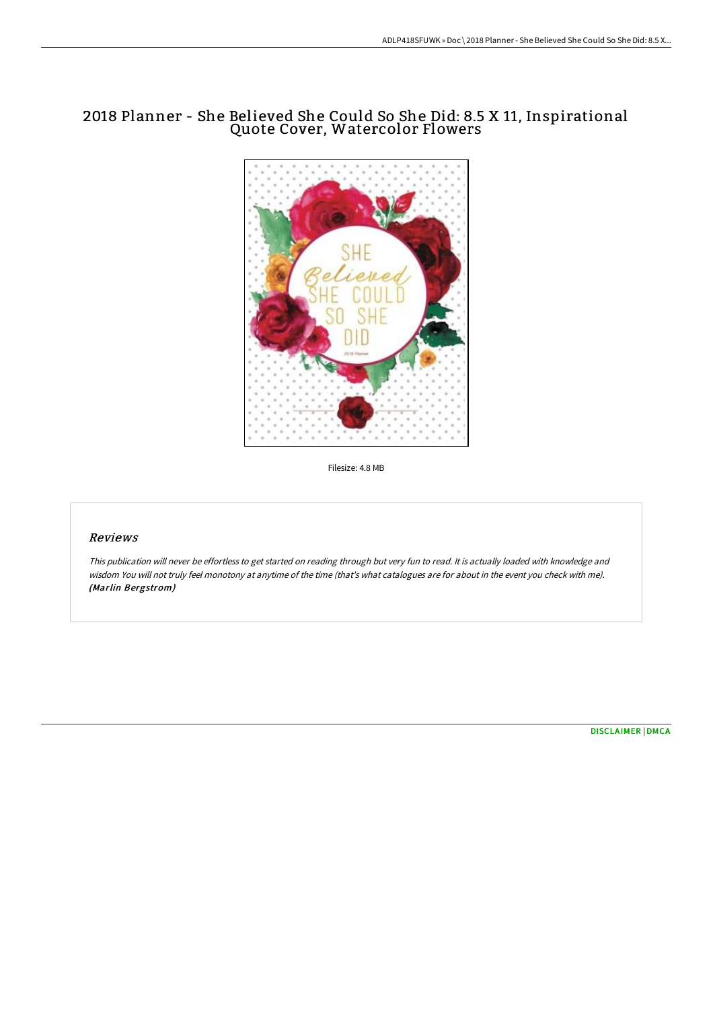## 2018 Planner - She Believed She Could So She Did: 8.5 X 11, Inspirational Quote Cover, Watercolor Flowers



Filesize: 4.8 MB

## Reviews

This publication will never be effortless to get started on reading through but very fun to read. It is actually loaded with knowledge and wisdom You will not truly feel monotony at anytime of the time (that's what catalogues are for about in the event you check with me). (Marlin Bergstrom)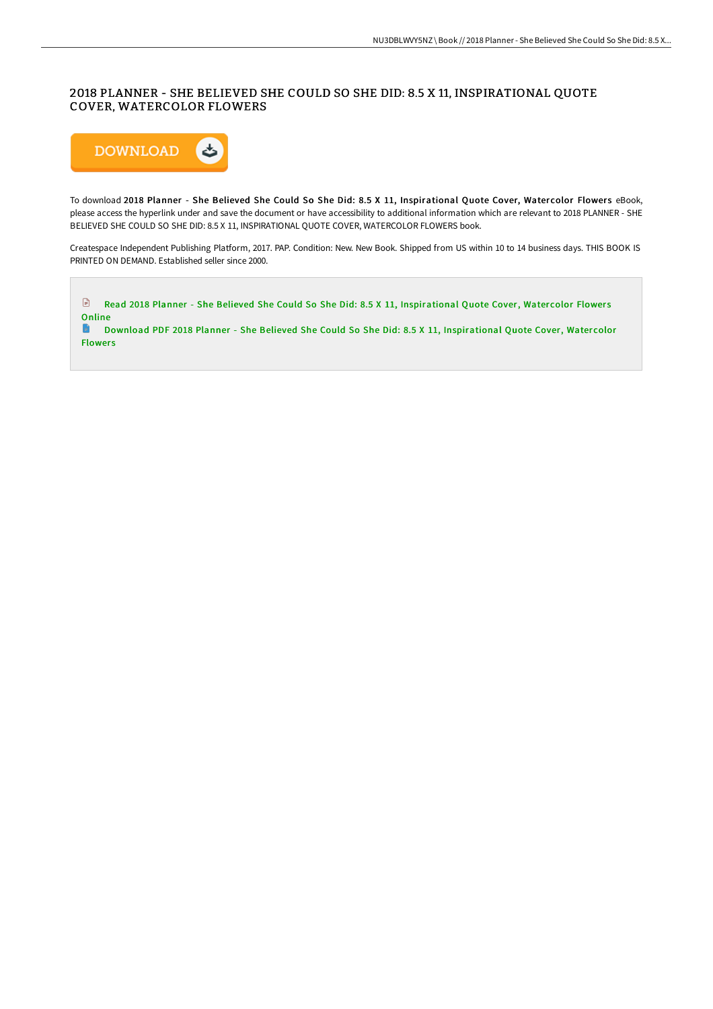## 2018 PLANNER - SHE BELIEVED SHE COULD SO SHE DID: 8.5 X 11, INSPIRATIONAL QUOTE COVER, WATERCOLOR FLOWERS



To download 2018 Planner - She Believed She Could So She Did: 8.5 X 11, Inspirational Quote Cover, Watercolor Flowers eBook, please access the hyperlink under and save the document or have accessibility to additional information which are relevant to 2018 PLANNER - SHE BELIEVED SHE COULD SO SHE DID: 8.5 X 11, INSPIRATIONAL QUOTE COVER, WATERCOLOR FLOWERS book.

Createspace Independent Publishing Platform, 2017. PAP. Condition: New. New Book. Shipped from US within 10 to 14 business days. THIS BOOK IS PRINTED ON DEMAND. Established seller since 2000.



**Flowers**